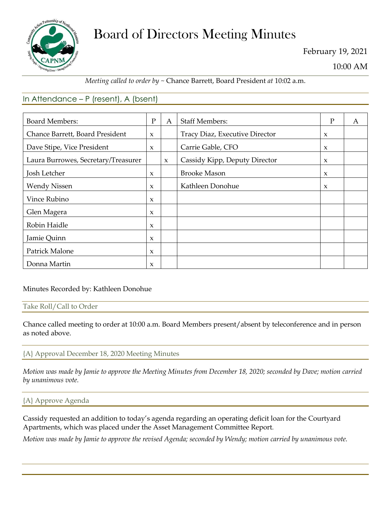

# Board of Directors Meeting Minutes

February 19, 2021

10:00 AM

## *Meeting called to order by ~* Chance Barrett, Board President *at* 10:02 a.m.

# In Attendance – P (resent), A (bsent)

| <b>Board Members:</b>               | $\mathbf{P}$        | $\mathsf{A}$ | <b>Staff Members:</b>          | P                   | A |
|-------------------------------------|---------------------|--------------|--------------------------------|---------------------|---|
| Chance Barrett, Board President     | $\mathbf{x}$        |              | Tracy Diaz, Executive Director | $\boldsymbol{\chi}$ |   |
| Dave Stipe, Vice President          | $\mathbf{x}$        |              | Carrie Gable, CFO              | $\mathbf x$         |   |
| Laura Burrowes, Secretary/Treasurer |                     | $\mathbf{x}$ | Cassidy Kipp, Deputy Director  | $\mathbf{x}$        |   |
| Josh Letcher                        | $\boldsymbol{\chi}$ |              | <b>Brooke Mason</b>            | $\mathbf x$         |   |
| <b>Wendy Nissen</b>                 | $\mathbf{x}$        |              | Kathleen Donohue               | $\boldsymbol{\chi}$ |   |
| Vince Rubino                        | $\mathbf{x}$        |              |                                |                     |   |
| Glen Magera                         | $\boldsymbol{\chi}$ |              |                                |                     |   |
| Robin Haidle                        | $\boldsymbol{\chi}$ |              |                                |                     |   |
| Jamie Quinn                         | $\boldsymbol{\chi}$ |              |                                |                     |   |
| Patrick Malone                      | $\boldsymbol{\chi}$ |              |                                |                     |   |
| Donna Martin                        | $\mathbf{x}$        |              |                                |                     |   |

Minutes Recorded by: Kathleen Donohue

### Take Roll/Call to Order

Chance called meeting to order at 10:00 a.m. Board Members present/absent by teleconference and in person as noted above.

## {A} Approval December 18, 2020 Meeting Minutes

*Motion was made by Jamie to approve the Meeting Minutes from December 18, 2020; seconded by Dave; motion carried by unanimous vote.*

### {A} Approve Agenda

Cassidy requested an addition to today's agenda regarding an operating deficit loan for the Courtyard Apartments, which was placed under the Asset Management Committee Report*.* 

*Motion was made by Jamie to approve the revised Agenda; seconded by Wendy; motion carried by unanimous vote.*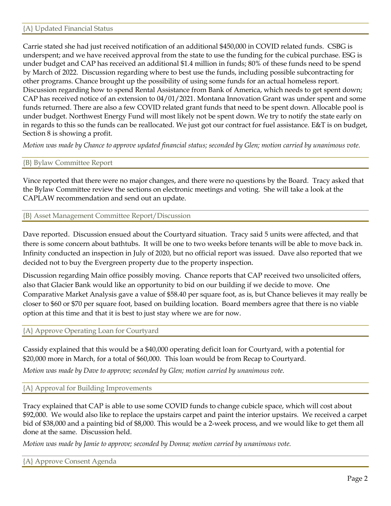Carrie stated she had just received notification of an additional \$450,000 in COVID related funds. CSBG is underspent; and we have received approval from the state to use the funding for the cubical purchase. ESG is under budget and CAP has received an additional \$1.4 million in funds; 80% of these funds need to be spend by March of 2022. Discussion regarding where to best use the funds, including possible subcontracting for other programs. Chance brought up the possibility of using some funds for an actual homeless report. Discussion regarding how to spend Rental Assistance from Bank of America, which needs to get spent down; CAP has received notice of an extension to 04/01/2021. Montana Innovation Grant was under spent and some funds returned. There are also a few COVID related grant funds that need to be spent down. Allocable pool is under budget. Northwest Energy Fund will most likely not be spent down. We try to notify the state early on in regards to this so the funds can be reallocated. We just got our contract for fuel assistance. E&T is on budget, Section 8 is showing a profit.

*Motion was made by Chance to approve updated financial status; seconded by Glen; motion carried by unanimous vote.*

## {B} Bylaw Committee Report

Vince reported that there were no major changes, and there were no questions by the Board. Tracy asked that the Bylaw Committee review the sections on electronic meetings and voting. She will take a look at the CAPLAW recommendation and send out an update.

## {B} Asset Management Committee Report/Discussion

Dave reported. Discussion ensued about the Courtyard situation. Tracy said 5 units were affected, and that there is some concern about bathtubs. It will be one to two weeks before tenants will be able to move back in. Infinity conducted an inspection in July of 2020, but no official report was issued. Dave also reported that we decided not to buy the Evergreen property due to the property inspection.

Discussion regarding Main office possibly moving. Chance reports that CAP received two unsolicited offers, also that Glacier Bank would like an opportunity to bid on our building if we decide to move. One Comparative Market Analysis gave a value of \$58.40 per square foot, as is, but Chance believes it may really be closer to \$60 or \$70 per square foot, based on building location. Board members agree that there is no viable option at this time and that it is best to just stay where we are for now.

### {A} Approve Operating Loan for Courtyard

Cassidy explained that this would be a \$40,000 operating deficit loan for Courtyard, with a potential for \$20,000 more in March, for a total of \$60,000. This loan would be from Recap to Courtyard.

*Motion was made by Dave to approve; seconded by Glen; motion carried by unanimous vote.*

### {A} Approval for Building Improvements

Tracy explained that CAP is able to use some COVID funds to change cubicle space, which will cost about \$92,000. We would also like to replace the upstairs carpet and paint the interior upstairs. We received a carpet bid of \$38,000 and a painting bid of \$8,000. This would be a 2-week process, and we would like to get them all done at the same. Discussion held.

*Motion was made by Jamie to approve; seconded by Donna; motion carried by unanimous vote.*

{A} Approve Consent Agenda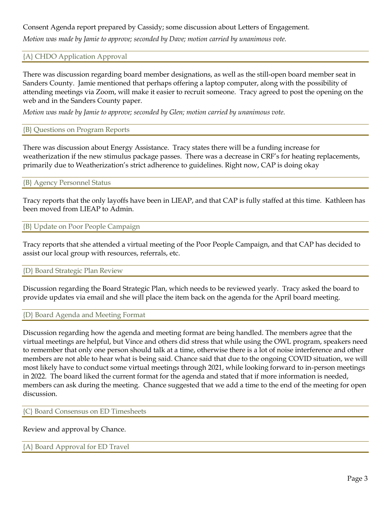## Consent Agenda report prepared by Cassidy; some discussion about Letters of Engagement.

*Motion was made by Jamie to approve; seconded by Dave; motion carried by unanimous vote.*

#### {A} CHDO Application Approval

There was discussion regarding board member designations, as well as the still-open board member seat in Sanders County. Jamie mentioned that perhaps offering a laptop computer, along with the possibility of attending meetings via Zoom, will make it easier to recruit someone. Tracy agreed to post the opening on the web and in the Sanders County paper.

*Motion was made by Jamie to approve; seconded by Glen; motion carried by unanimous vote.*

#### {B} Questions on Program Reports

There was discussion about Energy Assistance. Tracy states there will be a funding increase for weatherization if the new stimulus package passes. There was a decrease in CRF's for heating replacements, primarily due to Weatherization's strict adherence to guidelines. Right now, CAP is doing okay

#### {B} Agency Personnel Status

Tracy reports that the only layoffs have been in LIEAP, and that CAP is fully staffed at this time. Kathleen has been moved from LIEAP to Admin.

#### {B} Update on Poor People Campaign

Tracy reports that she attended a virtual meeting of the Poor People Campaign, and that CAP has decided to assist our local group with resources, referrals, etc.

#### {D} Board Strategic Plan Review

Discussion regarding the Board Strategic Plan, which needs to be reviewed yearly. Tracy asked the board to provide updates via email and she will place the item back on the agenda for the April board meeting.

#### {D} Board Agenda and Meeting Format

Discussion regarding how the agenda and meeting format are being handled. The members agree that the virtual meetings are helpful, but Vince and others did stress that while using the OWL program, speakers need to remember that only one person should talk at a time, otherwise there is a lot of noise interference and other members are not able to hear what is being said. Chance said that due to the ongoing COVID situation, we will most likely have to conduct some virtual meetings through 2021, while looking forward to in-person meetings in 2022. The board liked the current format for the agenda and stated that if more information is needed, members can ask during the meeting. Chance suggested that we add a time to the end of the meeting for open discussion.

{C} Board Consensus on ED Timesheets

### Review and approval by Chance.

### {A} Board Approval for ED Travel